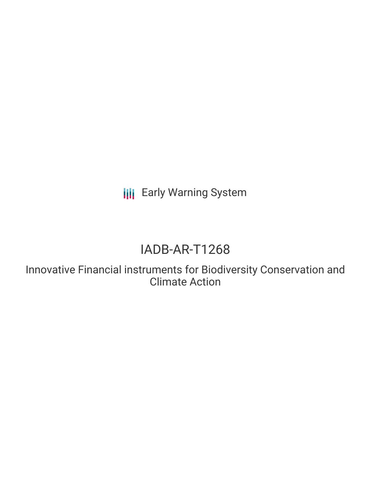**III** Early Warning System

# IADB-AR-T1268

Innovative Financial instruments for Biodiversity Conservation and Climate Action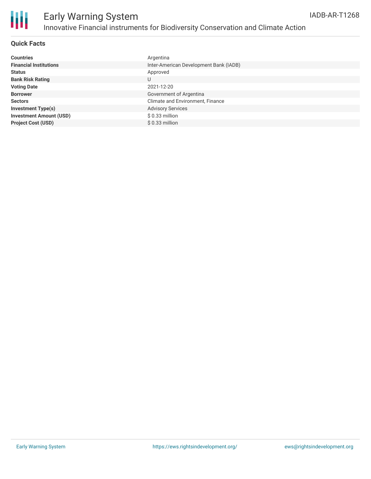

## Early Warning System Innovative Financial instruments for Biodiversity Conservation and Climate Action

#### **Quick Facts**

| <b>Countries</b>               | Argentina                              |
|--------------------------------|----------------------------------------|
| <b>Financial Institutions</b>  | Inter-American Development Bank (IADB) |
| <b>Status</b>                  | Approved                               |
| <b>Bank Risk Rating</b>        | U                                      |
| <b>Voting Date</b>             | 2021-12-20                             |
| <b>Borrower</b>                | Government of Argentina                |
| <b>Sectors</b>                 | Climate and Environment, Finance       |
| <b>Investment Type(s)</b>      | <b>Advisory Services</b>               |
| <b>Investment Amount (USD)</b> | $$0.33$ million                        |
| <b>Project Cost (USD)</b>      | $$0.33$ million                        |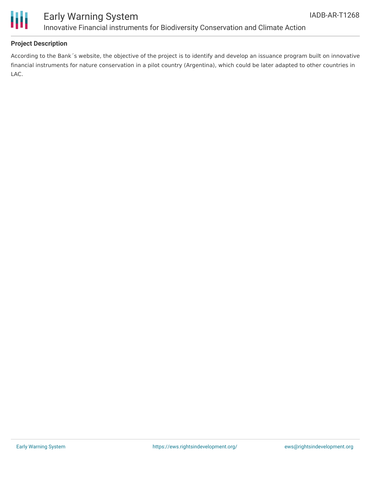



## Early Warning System Innovative Financial instruments for Biodiversity Conservation and Climate Action

#### **Project Description**

According to the Bank´s website, the objective of the project is to identify and develop an issuance program built on innovative financial instruments for nature conservation in a pilot country (Argentina), which could be later adapted to other countries in LAC.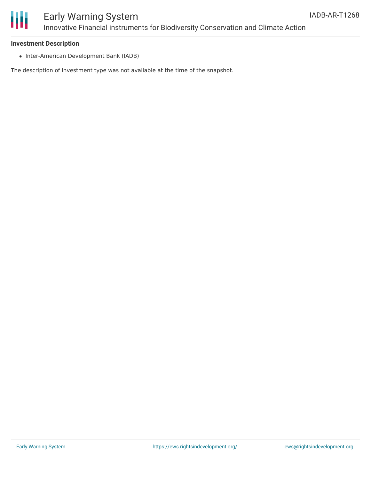

#### **Investment Description**

• Inter-American Development Bank (IADB)

The description of investment type was not available at the time of the snapshot.